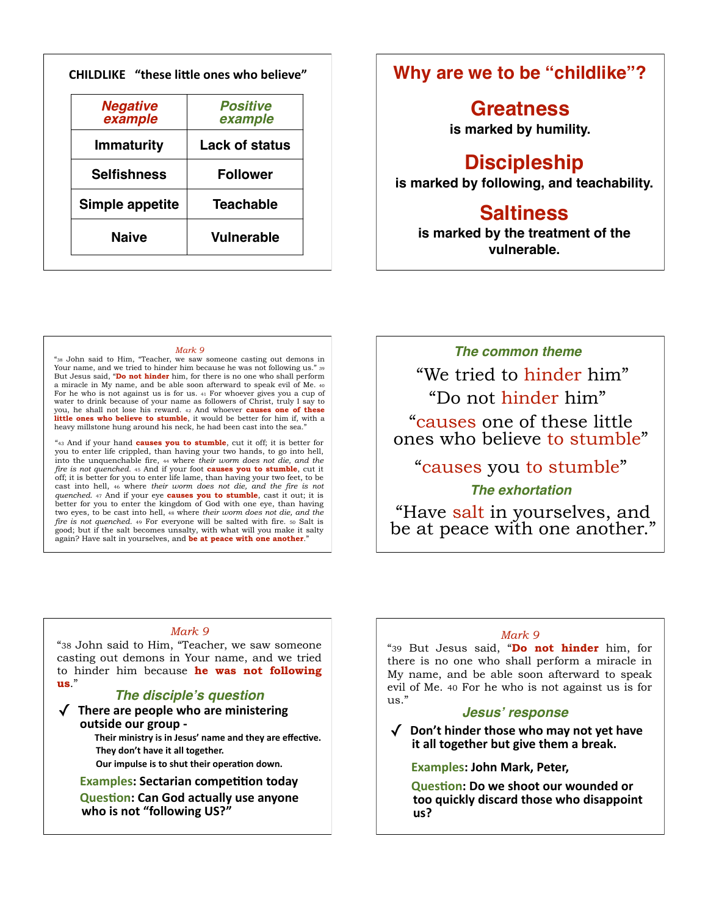|                            | <b>Positive</b>       |
|----------------------------|-----------------------|
| <b>Negative</b><br>example | example               |
| <b>Immaturity</b>          | <b>Lack of status</b> |
| <b>Selfishness</b>         | <b>Follower</b>       |
| Simple appetite            | <b>Teachable</b>      |

## **Why are we to be "childlike"?**

### **Greatness is marked by humility.**

# **Discipleship**

**is marked by following, and teachability.**

# **Saltiness**

**is marked by the treatment of the vulnerable.**

#### *Mark 9*

"38 John said to Him, "Teacher, we saw someone casting out demons in Your name, and we tried to hinder him because he was not following us." 39 But Jesus said, "**Do not hinder** him, for there is no one who shall perform a miracle in My name, and be able soon afterward to speak evil of Me. 40 For he who is not against us is for us. 41 For whoever gives you a cup of water to drink because of your name as followers of Christ, truly I say to you, he shall not lose his reward. 42 And whoever **causes one of these**  little ones who believe to stumble, it would be better for him if, with a heavy millstone hung around his neck, he had been cast into the sea.

"43 And if your hand **causes you to stumble**, cut it off; it is better for you to enter life crippled, than having your two hands, to go into hell, into the unquenchable fire, 44 where *their worm does not die, and the fire is not quenched*. 45 And if your foot **causes you to stumble**, cut it off; it is better for you to enter life lame, than having your two feet, to be cast into hell, 46 where *their worm does not die, and the fire is not quenched*. 47 And if your eye **causes you to stumble**, cast it out; it is better for you to enter the kingdom of God with one eye, than having two eyes, to be cast into hell, 48 where *their worm does not die, and the fire is not quenched*. 49 For everyone will be salted with fire. 50 Salt is good; but if the salt becomes unsalty, with what will you make it salty again? Have salt in yourselves, and **be at peace with one another**.

### *The common theme*

"Do not hinder him" "We tried to hinder him"

"causes one of these little ones who believe to stumble"

# "causes you to stumble"

### *The exhortation*

"Have salt in yourselves, and<br>be at peace with one another."

#### *Mark 9*

"38 John said to Him, "Teacher, we saw someone casting out demons in Your name, and we tried to hinder him because **he was not following us**."

#### *The disciple***'***s question*

 $\sqrt{\phantom{a}}$  There are people who are ministering outside our group -

Their ministry is in Jesus' name and they are effective. They don't have it all together.

**6** Our impulse is to shut their operation down.

**Examples: Sectarian competition today Question: Can God actually use anyone** who is not "following US?"

#### *Mark 9*

"39 But Jesus said, "**Do not hinder** him, for there is no one who shall perform a miracle in My name, and be able soon afterward to speak evil of Me. 40 For he who is not against us is for us."

#### *Jesus***'** *response*

√ Don't hinder those who may not yet have **it all together but give them a break.** 

#### **Examples: John Mark, Peter,**

**Question: Do we shoot our wounded or** too quickly discard those who disappoint **=-J**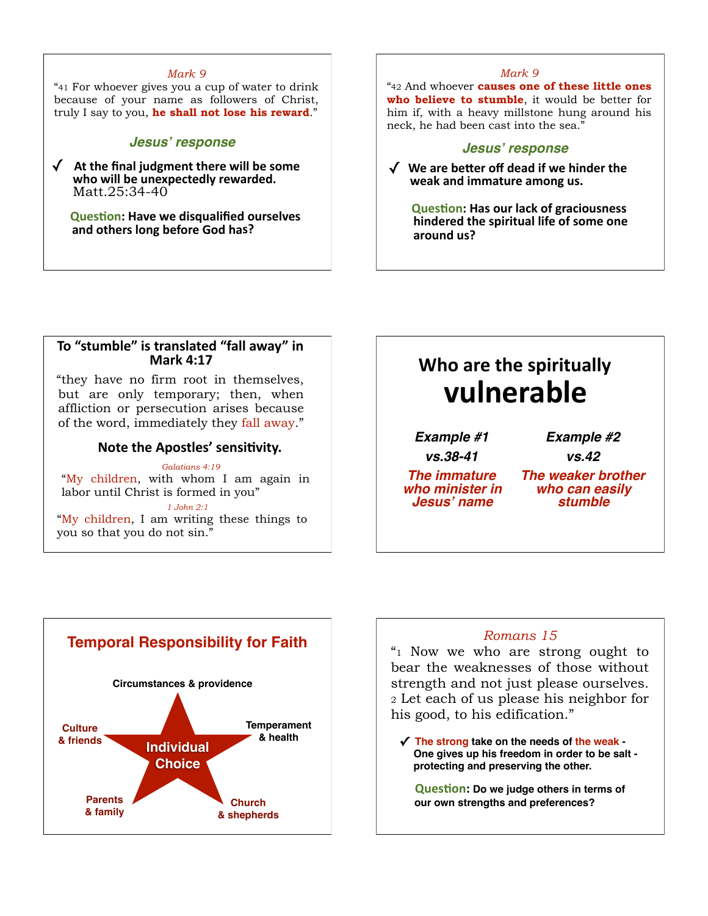#### *Mark 9*

"41 For whoever gives you a cup of water to drink because of your name as followers of Christ, truly I say to you, **he shall not lose his reward**."

#### *Jesus***'** *response*

 $\sqrt{\phantom{a}}$  At the final judgment there will be some who will be unexpectedly rewarded. Matt.25:34-40

**Question: Have we disqualified ourselves** and others long before God has?

#### *Mark 9*

"42 And whoever **causes one of these little ones who believe to stumble**, it would be better for him if, with a heavy millstone hung around his neck, he had been cast into the sea."

#### *Jesus***'** *response*

√ We are better off dead if we hinder the weak and immature among us.

**Question: Has our lack of graciousness hindered the spiritual life of some one** around us?

#### To "stumble" is translated "fall away" in **Mark 4:17**

"they have no firm root in themselves, but are only temporary; then, when affliction or persecution arises because of the word, immediately they fall away."

#### **Note the Apostles' sensitivity.**

*Galatians 4:19* "My children, with whom I am again in labor until Christ is formed in you" *1 John 2:1* "My children, I am writing these things to you so that you do not sin."

# **Who are the spiritually /,-0'&%1-'**

*Example #1 vs.38-41*

```
Example #2
```
*vs.42*

*The immature who minister in Jesus***'** *name*

*The weaker brother who can easily stumble*



"1 Now we who are strong ought to bear the weaknesses of those without strength and not just please ourselves. 2 Let each of us please his neighbor for his good, to his edification."

**✓ The strong take on the needs of the weak - One gives up his freedom in order to be salt protecting and preserving the other.**

**Question: Do we judge others in terms of our own strengths and preferences?**